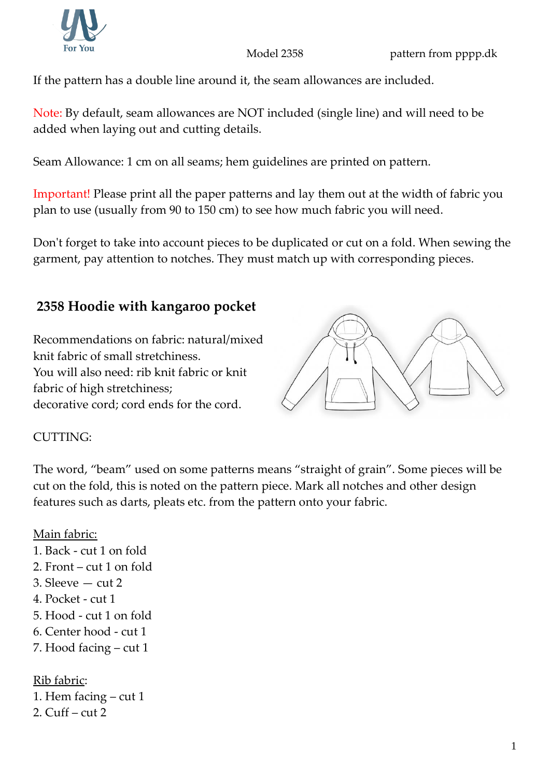If the pattern has a double line around it, the seam allowances are included.

Note: By default, seam allowances are NOT included (single line) and will need to be added when laying out and cutting details.

Seam Allowance: 1 cm on all seams; hem guidelines are printed on pattern.

Important! Please print all the paper patterns and lay them out at the width of fabric you plan to use (usually from 90 to 150 cm) to see how much fabric you will need.

Don't forget to take into account pieces to be duplicated or cut on a fold. When sewing the garment, pay attention to notches. They must match up with corresponding pieces.

## **2358 Hoodie with kangaroo pocket**

Recommendations on fabric: natural/mixed knit fabric of small stretchiness. You will also need: rib knit fabric or knit fabric of high stretchiness; decorative cord; cord ends for the cord.



## CUTTING:

The word, "beam" used on some patterns means "straight of grain". Some pieces will be cut on the fold, this is noted on the pattern piece. Mark all notches and other design features such as darts, pleats etc. from the pattern onto your fabric.

## Main fabric:

- 1. Back cut 1 on fold 2. Front – cut 1 on fold 3. Sleeve — cut 2 4. Pocket - cut 1 5. Hood - cut 1 on fold 6. Center hood - cut 1 7. Hood facing – cut 1 Rib fabric:
- 1. Hem facing cut 1 2. Cuff – cut 2